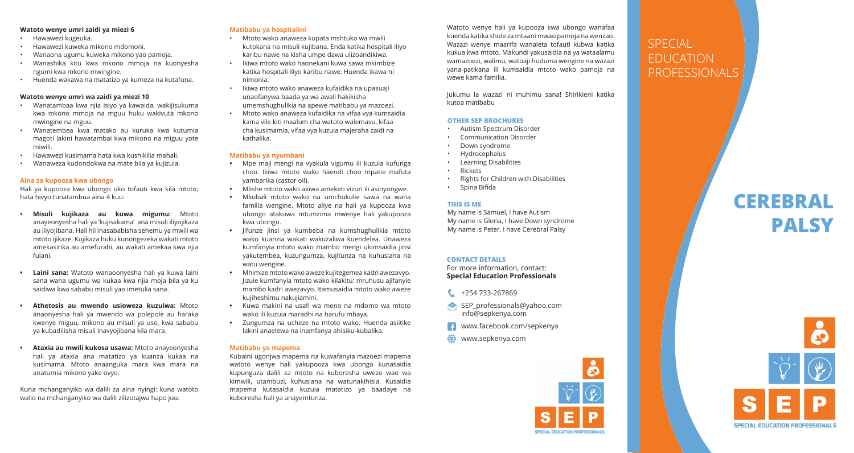#### **Watoto wenye umri zaidi ya miezi 6**

- Hawawezi kugeuka.
- Hawawezi kuweka mikono mdomoni.
- Wanaona ugumu kuweka mikono yao pamoja.
- Wanashika kitu kwa mkono mmoja na kuonyesha ngumi kwa mkono mwingine.
- Huenda wakawa na matatizo ya kumeza na kutafuna.

#### **Watoto wenye umri wa zaidi ya miezi 10**

- Wanatambaa kwa njia isiyo ya kawaida, wakijisukuma kwa mkono mmoja na mguu huku wakivuta mkono mwingine na mguu.
- Wanatembea kwa matako au kuruka kwa kutumia magoti lakini hawatambai kwa mikono na miguu yote miwili.
- Hawawezi kusimama hata kwa kushikilia mahali.
- Wanaweza kudondokwa na mate bila ya kujizuia.

#### **Aina za kupooza kwa ubongo**

Hali ya kupooza kwa ubongo uko tofauti kwa kila mtoto; hata hivyo tunatambua aina 4 kuu:

- **• Misuli kujikaza au kuwa migumu:** Mtoto anayeonyesha hali ya 'kujisakama' ana misuli iliyojikaza au iliyojibana. Hali hii inasababisha sehemu ya mwili wa mtoto ijikaze. Kujikaza huku kunongezeka wakati mtoto amekasirika au amefurahi, au wakati amekaa kwa njia fulani.
- **• Laini sana:** Watoto wanaoonyesha hali ya kuwa laini sana wana ugumu wa kukaa kwa njia moja bila ya ku saidiwa kwa sababu misuli yao imetulia sana.
- **• Athetosis au mwendo usioweza kuzuiwa:** Mtoto anaonyesha hali ya mwendo wa polepole au haraka kwenye miguu, mikono au misuli ya uso, kwa sababu ya kubadilisha misuli inavyojibana kila mara.
- **• Ataxia au mwili kukosa usawa:** Mtoto anayeonyesha hali ya ataxia ana matatizo ya kuanza kukaa na kusimama. Mtoto anaanguka mara kwa mara na anatumia mikono yake ovyo.

Kuna mchanganyiko wa dalili za aina nyingi: kuna watoto walio na mchanganyiko wa dalili zilizotajwa hapo juu.

#### **Matibabu ya hospitalini**

- Mtoto wako anaweza kupata mshtuko wa mwili kutokana na misuli kujibana. Enda katika hospitali iliyo karibu nawe na kisha umpe dawa ulizoandikiwa.
- Ikiwa mtoto wako haonekani kuwa sawa mkimbize katika hospitali iliyo karibu nawe. Huenda ikawa ni nimonia.
- Ikiwa mtoto wako anaweza kufaidika na upasuaji unaofanywa baada ya wa awali hakikisha umemshughulikia na apewe matibabu ya mazoezi.
- Mtoto wako anaweza kufaidika na vifaa vya kumsaidia kama vile kiti maalum cha watoto walemavu, kifaa cha kusimamia, vifaa vya kuzuia majeraha zaidi na kathalika.

### **Matibabu ya nyumbani**

- **•** Mpe maji mengi na vyakula vigumu ili kuzuia kufunga choo. Ikiwa mtoto wako haendi choo mpatie mafuta yambarika (castor oil).
- **•** Mlishe mtoto wako akiwa ameketi vizuri ili asinyongwe.
- **•** Mkubali mtoto wako na umchukulie sawa na wana familia wengine. Mtoto aliye na hali ya kupooza kwa ubongo atakuwa mtumzima mwenye hali yakupooza kwa ubongo.
- **•** Jifunze jinsi ya kumbeba na kumshughulikia mtoto wako kuanzia wakati wakuzaliwa kuendelea. Unaweza kumfanyia mtoto wako mambo mengi ukimsaidia jinsi yakutembea, kuzungumza, kujitunza na kuhusiana na watu wengine.
- **•** Mhimize mtoto wako aweze kujitegemea kadri awezavyo. Jizuie kumfanyia mtoto wako kilakitu: mruhusu ajifanyie mambo kadri awezavyo. Itamusaidia mtoto wako aweze kujiheshimu nakujiamini.
- **•** Kuwa makini na usafi wa meno na mdomo wa mtoto wako ili kuzuia maradhi na harufu mbaya.
- **•** Zungumza na ucheze na mtoto wako. Huenda asiitike lakini anaelewa na inamfanya ahisiku-kubalika.

#### **Matibabu ya mapema**

Kubaini ugonjwa mapema na kuwafanyia mazoezi mapema watoto wenye hali yakupooza kwa ubongo kunasaidia kupunguza dalili za mtoto na kuboresha uwezo wao wa kimwili, utambuzi, kuhusiana na watunakihisia. Kusaidia mapema kutasaidia kuzuia matatizo ya baadaye na kuboresha hali ya anayemtunza.

Watoto wenye hali ya kupooza kwa ubongo wanafaa kuenda katika shule za mtaani mwao pamoja na wenzao. Wazazi wenye maarifa wanaleta tofauti kubwa katika kukua kwa mtoto. Makundi yakusaidia na ya wataalamu wamazoezi, walimu, watoaji huduma wengine na wazazi yana-patikana ili kumsaidia mtoto wako pamoja na wewe kama familia.

Jukumu la wazazi ni muhimu sana! Shirikieni katika kutoa matibabu

#### **OTHER SEP BROCHURES**

- Autism Spectrum Disorder
- Communication Disorder
- Down syndrome
- Hydrocephalus
- Learning Disabilities
- Rickets
- Rights for Children with Disabilities
- Spina Bifida

#### **THIS IS ME**

My name is Samuel, I have Autism My name is Gloria, I have Down syndrome My name is Peter, I have Cerebral Palsy

# **CONTACT DETAILS**

For more information, contact: **Special Education Professionals** 

+254 733-267869

- SEP\_professionals@yahoo.com info@sepkenya.com
- www.facebook.com/sepkenya
- $\bigoplus$  www.sepkenya.com



# SPECIAL EDUCATION PROFESSIONALS

# **CEREBRAL PALSY**